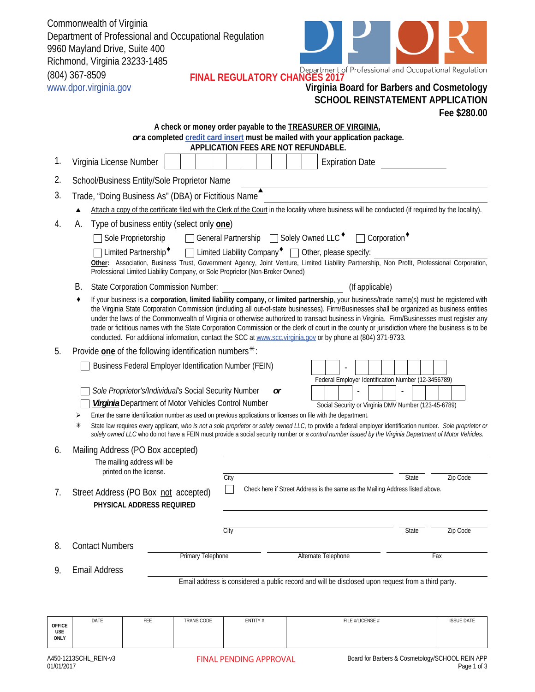Commonwealth of Virginia Department of Professional and Occupational Regulation 9960 Mayland Drive, Suite 400 Richmond, Virginia 23233-1485 (804) 367-8509 **FINAL REGULATORY CHANGES 2017**



|                      | www.dpor.virginia.gov                                                                                                                                                                                                                                                                                                                                                                                                                                                                                                                                                                                                                                                                                     |                                                                                     |                                                                                                                                                                                |                                                                                                                      |  | Virginia Board for Barbers and Cosmetology<br><b>SCHOOL REINSTATEMENT APPLICATION</b>                                                                                                                                                                                                                                                                                                                                                  |       |                   |  |  |
|----------------------|-----------------------------------------------------------------------------------------------------------------------------------------------------------------------------------------------------------------------------------------------------------------------------------------------------------------------------------------------------------------------------------------------------------------------------------------------------------------------------------------------------------------------------------------------------------------------------------------------------------------------------------------------------------------------------------------------------------|-------------------------------------------------------------------------------------|--------------------------------------------------------------------------------------------------------------------------------------------------------------------------------|----------------------------------------------------------------------------------------------------------------------|--|----------------------------------------------------------------------------------------------------------------------------------------------------------------------------------------------------------------------------------------------------------------------------------------------------------------------------------------------------------------------------------------------------------------------------------------|-------|-------------------|--|--|
|                      |                                                                                                                                                                                                                                                                                                                                                                                                                                                                                                                                                                                                                                                                                                           |                                                                                     |                                                                                                                                                                                |                                                                                                                      |  |                                                                                                                                                                                                                                                                                                                                                                                                                                        |       | Fee \$280.00      |  |  |
|                      |                                                                                                                                                                                                                                                                                                                                                                                                                                                                                                                                                                                                                                                                                                           |                                                                                     |                                                                                                                                                                                | APPLICATION FEES ARE NOT REFUNDABLE.                                                                                 |  | A check or money order payable to the <b>TREASURER OF VIRGINIA</b> ,<br>or a completed credit card insert must be mailed with your application package.                                                                                                                                                                                                                                                                                |       |                   |  |  |
| 1.                   | Virginia License Number                                                                                                                                                                                                                                                                                                                                                                                                                                                                                                                                                                                                                                                                                   |                                                                                     |                                                                                                                                                                                |                                                                                                                      |  | <b>Expiration Date</b>                                                                                                                                                                                                                                                                                                                                                                                                                 |       |                   |  |  |
| 2.                   | School/Business Entity/Sole Proprietor Name                                                                                                                                                                                                                                                                                                                                                                                                                                                                                                                                                                                                                                                               |                                                                                     |                                                                                                                                                                                |                                                                                                                      |  |                                                                                                                                                                                                                                                                                                                                                                                                                                        |       |                   |  |  |
| 3.                   |                                                                                                                                                                                                                                                                                                                                                                                                                                                                                                                                                                                                                                                                                                           |                                                                                     | Trade, "Doing Business As" (DBA) or Fictitious Name                                                                                                                            |                                                                                                                      |  |                                                                                                                                                                                                                                                                                                                                                                                                                                        |       |                   |  |  |
|                      | Attach a copy of the certificate filed with the Clerk of the Court in the locality where business will be conducted (if required by the locality).                                                                                                                                                                                                                                                                                                                                                                                                                                                                                                                                                        |                                                                                     |                                                                                                                                                                                |                                                                                                                      |  |                                                                                                                                                                                                                                                                                                                                                                                                                                        |       |                   |  |  |
| 4.                   | Type of business entity (select only one)<br>А.<br>Solely Owned LLC <sup>+</sup><br>General Partnership<br>$\Box$ Corporation<br>Sole Proprietorship<br>Limited Liability Company $\bullet$ $\Box$ Other, please specify:<br>Limited Partnership <sup>+</sup><br>Other: Association, Business Trust, Government Agency, Joint Venture, Limited Liability Partnership, Non Profit, Professional Corporation,<br>Professional Limited Liability Company, or Sole Proprietor (Non-Broker Owned)                                                                                                                                                                                                              |                                                                                     |                                                                                                                                                                                |                                                                                                                      |  |                                                                                                                                                                                                                                                                                                                                                                                                                                        |       |                   |  |  |
|                      | В.                                                                                                                                                                                                                                                                                                                                                                                                                                                                                                                                                                                                                                                                                                        | <b>State Corporation Commission Number:</b>                                         |                                                                                                                                                                                |                                                                                                                      |  | (If applicable)                                                                                                                                                                                                                                                                                                                                                                                                                        |       |                   |  |  |
|                      | If your business is a corporation, limited liability company, or limited partnership, your business/trade name(s) must be registered with<br>the Virginia State Corporation Commission (including all out-of-state businesses). Firm/Businesses shall be organized as business entities<br>under the laws of the Commonwealth of Virginia or otherwise authorized to transact business in Virginia. Firm/Businesses must register any<br>trade or fictitious names with the State Corporation Commission or the clerk of court in the county or jurisdiction where the business is to be<br>conducted. For additional information, contact the SCC at www.scc.virginia.gov or by phone at (804) 371-9733. |                                                                                     |                                                                                                                                                                                |                                                                                                                      |  |                                                                                                                                                                                                                                                                                                                                                                                                                                        |       |                   |  |  |
| 5.                   |                                                                                                                                                                                                                                                                                                                                                                                                                                                                                                                                                                                                                                                                                                           |                                                                                     | Provide one of the following identification numbers $*$ :                                                                                                                      |                                                                                                                      |  |                                                                                                                                                                                                                                                                                                                                                                                                                                        |       |                   |  |  |
|                      | ⋗<br>⋇                                                                                                                                                                                                                                                                                                                                                                                                                                                                                                                                                                                                                                                                                                    |                                                                                     | Business Federal Employer Identification Number (FEIN)<br>Sole Proprietor's/Individual's Social Security Number<br><b>Virginia</b> Department of Motor Vehicles Control Number | or<br>Enter the same identification number as used on previous applications or licenses on file with the department. |  | Federal Employer Identification Number (12-3456789)<br>Social Security or Virginia DMV Number (123-45-6789)<br>State law requires every applicant, who is not a sole proprietor or solely owned LLC, to provide a federal employer identification number. Sole proprietor or<br>solely owned LLC who do not have a FEIN must provide a social security number or a control number issued by the Virginia Department of Motor Vehicles. |       |                   |  |  |
| 6.                   |                                                                                                                                                                                                                                                                                                                                                                                                                                                                                                                                                                                                                                                                                                           | Mailing Address (PO Box accepted)                                                   |                                                                                                                                                                                |                                                                                                                      |  |                                                                                                                                                                                                                                                                                                                                                                                                                                        |       |                   |  |  |
| 7.                   | Street Address (PO Box not accepted)                                                                                                                                                                                                                                                                                                                                                                                                                                                                                                                                                                                                                                                                      | The mailing address will be<br>printed on the license.<br>PHYSICAL ADDRESS REQUIRED |                                                                                                                                                                                | City                                                                                                                 |  | Check here if Street Address is the same as the Mailing Address listed above.                                                                                                                                                                                                                                                                                                                                                          | State | Zip Code          |  |  |
|                      |                                                                                                                                                                                                                                                                                                                                                                                                                                                                                                                                                                                                                                                                                                           |                                                                                     |                                                                                                                                                                                |                                                                                                                      |  |                                                                                                                                                                                                                                                                                                                                                                                                                                        |       |                   |  |  |
|                      |                                                                                                                                                                                                                                                                                                                                                                                                                                                                                                                                                                                                                                                                                                           |                                                                                     |                                                                                                                                                                                | City                                                                                                                 |  |                                                                                                                                                                                                                                                                                                                                                                                                                                        | State | Zip Code          |  |  |
| 8.                   | <b>Contact Numbers</b>                                                                                                                                                                                                                                                                                                                                                                                                                                                                                                                                                                                                                                                                                    |                                                                                     | <b>Primary Telephone</b>                                                                                                                                                       |                                                                                                                      |  | Alternate Telephone                                                                                                                                                                                                                                                                                                                                                                                                                    |       | Fax               |  |  |
| 9.                   | <b>Email Address</b><br>Email address is considered a public record and will be disclosed upon request from a third party.                                                                                                                                                                                                                                                                                                                                                                                                                                                                                                                                                                                |                                                                                     |                                                                                                                                                                                |                                                                                                                      |  |                                                                                                                                                                                                                                                                                                                                                                                                                                        |       |                   |  |  |
|                      |                                                                                                                                                                                                                                                                                                                                                                                                                                                                                                                                                                                                                                                                                                           |                                                                                     |                                                                                                                                                                                |                                                                                                                      |  |                                                                                                                                                                                                                                                                                                                                                                                                                                        |       |                   |  |  |
| <b>OFFICE</b><br>USE | DATE                                                                                                                                                                                                                                                                                                                                                                                                                                                                                                                                                                                                                                                                                                      | FEE                                                                                 | TRANS CODE                                                                                                                                                                     | ENTITY#                                                                                                              |  | FILE #/LICENSE #                                                                                                                                                                                                                                                                                                                                                                                                                       |       | <b>ISSUE DATE</b> |  |  |

**ONLY**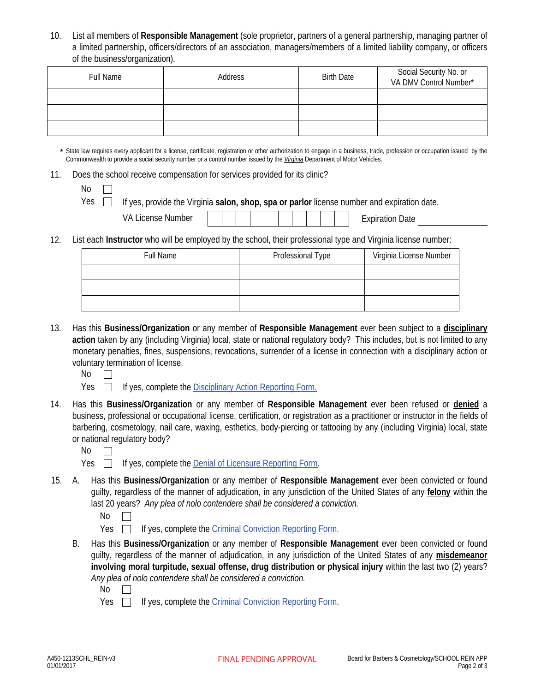10. List all members of **Responsible Management** (sole proprietor, partners of a general partnership, managing partner of a limited partnership, officers/directors of an association, managers/members of a limited liability company, or officers of the business/organization).

| <b>Full Name</b> | Address | <b>Birth Date</b> | Social Security No. or<br>VA DMV Control Number* |
|------------------|---------|-------------------|--------------------------------------------------|
|                  |         |                   |                                                  |
|                  |         |                   |                                                  |
|                  |         |                   |                                                  |

\* State law requires every applicant for a license, certificate, registration or other authorization to engage in a business, trade, profession or occupation issued by the Commonwealth to provide a social security number or a control number issued by the *Virginia* Department of Motor Vehicles.

11. Does the school receive compensation for services provided for its clinic?

| ۰.<br>× |  |
|---------|--|
|---------|--|

Yes  $\Box$  If yes, provide the Virginia **salon, shop, spa or parlor** license number and expiration date.

| <b>VA License Number</b> |  |  |  |  |  |  |  |  |  |  | <b>Expiration Date</b> |
|--------------------------|--|--|--|--|--|--|--|--|--|--|------------------------|
|--------------------------|--|--|--|--|--|--|--|--|--|--|------------------------|

12. List each **Instructor** who will be employed by the school, their professional type and Virginia license number:

| <b>Full Name</b> | Professional Type | Virginia License Number |
|------------------|-------------------|-------------------------|
|                  |                   |                         |
|                  |                   |                         |
|                  |                   |                         |

- 13. Has this **Business/Organization** or any member of **Responsible Management** ever been subject to a **disciplinary action** taken by any (including Virginia) local, state or national regulatory body? This includes, but is not limited to any monetary penalties, fines, suspensions, revocations, surrender of a license in connection with a disciplinary action or voluntary termination of license.
	- $No$   $\Box$

Yes  $\Box$  If yes, complete the Disciplinary Action Reporting Form.

- Has this **Business/Organization** or any member of **Responsible Management** ever been refused or **denied** a business, professional or occupational license, certification, or registration as a practitioner or instructor in the fields of barbering, cosmetology, nail care, waxing, esthetics, body-piercing or tattooing by any (including Virginia) local, state or national regulatory body? 14.
	- $\mathsf{No}$   $\Box$

 $Yes \Box$  If yes, complete the Denial of Licensure Reporting Form.

- A. Has this **Business/Organization** or any member of **Responsible Management** ever been convicted or found 15. guilty, regardless of the manner of adjudication, in any jurisdiction of the United States of any **felony** within the last 20 years? *Any plea of nolo contendere shall be considered a conviction.*
	- $No$   $\Box$
	- Yes  $\Box$  If yes, complete the *Criminal Conviction Reporting Form.*
	- B. Has this **Business/Organization** or any member of **Responsible Management** ever been convicted or found guilty, regardless of the manner of adjudication, in any jurisdiction of the United States of any **misdemeanor involving moral turpitude, sexual offense, drug distribution or physical injury** within the last two (2) years? *Any plea of nolo contendere shall be considered a conviction.*
		- $No$   $\Box$

Yes  $\Box$  If yes, complete the *Criminal Conviction Reporting Form.*